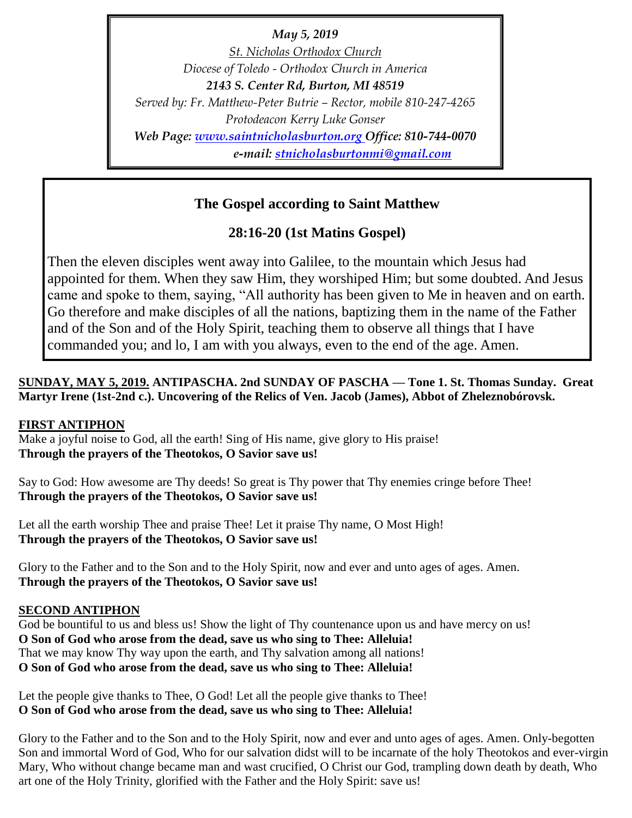*May 5, 2019 St. Nicholas Orthodox Church Diocese of Toledo - Orthodox Church in America 2143 S. Center Rd, Burton, MI 48519 Served by: Fr. Matthew-Peter Butrie – Rector, mobile 810-247-4265 Protodeacon Kerry Luke Gonser Web Page: [www.saintnicholasburton.org](http://www.saintnicholasburton.org/) Office: 810-744-0070 e-mail: [stnicholasburtonmi@gmail.com](mailto:stnicholasburtonmi@gmail.com)*

# **The Gospel according to Saint Matthew**

**28:16-20 (1st Matins Gospel)**

Then the eleven disciples went away into Galilee, to the mountain which Jesus had appointed for them. When they saw Him, they worshiped Him; but some doubted. And Jesus came and spoke to them, saying, "All authority has been given to Me in heaven and on earth. Go therefore and make disciples of all the nations, baptizing them in the name of the Father and of the Son and of the Holy Spirit, teaching them to observe all things that I have commanded you; and lo, I am with you always, even to the end of the age. Amen.

## **SUNDAY, MAY 5, 2019. ANTIPASCHA. 2nd SUNDAY OF PASCHA — Tone 1. St. Thomas Sunday. Great Martyr Irene (1st-2nd c.). Uncovering of the Relics of Ven. Jacob (James), Abbot of Zheleznobórovsk.**

### **FIRST ANTIPHON**

Make a joyful noise to God, all the earth! Sing of His name, give glory to His praise! **Through the prayers of the Theotokos, O Savior save us!**

Say to God: How awesome are Thy deeds! So great is Thy power that Thy enemies cringe before Thee! **Through the prayers of the Theotokos, O Savior save us!**

Let all the earth worship Thee and praise Thee! Let it praise Thy name, O Most High! **Through the prayers of the Theotokos, O Savior save us!**

Glory to the Father and to the Son and to the Holy Spirit, now and ever and unto ages of ages. Amen. **Through the prayers of the Theotokos, O Savior save us!**

### **SECOND ANTIPHON**

God be bountiful to us and bless us! Show the light of Thy countenance upon us and have mercy on us! **O Son of God who arose from the dead, save us who sing to Thee: Alleluia!** That we may know Thy way upon the earth, and Thy salvation among all nations! **O Son of God who arose from the dead, save us who sing to Thee: Alleluia!**

Let the people give thanks to Thee, O God! Let all the people give thanks to Thee! **O Son of God who arose from the dead, save us who sing to Thee: Alleluia!**

Glory to the Father and to the Son and to the Holy Spirit, now and ever and unto ages of ages. Amen. Only-begotten Son and immortal Word of God, Who for our salvation didst will to be incarnate of the holy Theotokos and ever-virgin Mary, Who without change became man and wast crucified, O Christ our God, trampling down death by death, Who art one of the Holy Trinity, glorified with the Father and the Holy Spirit: save us!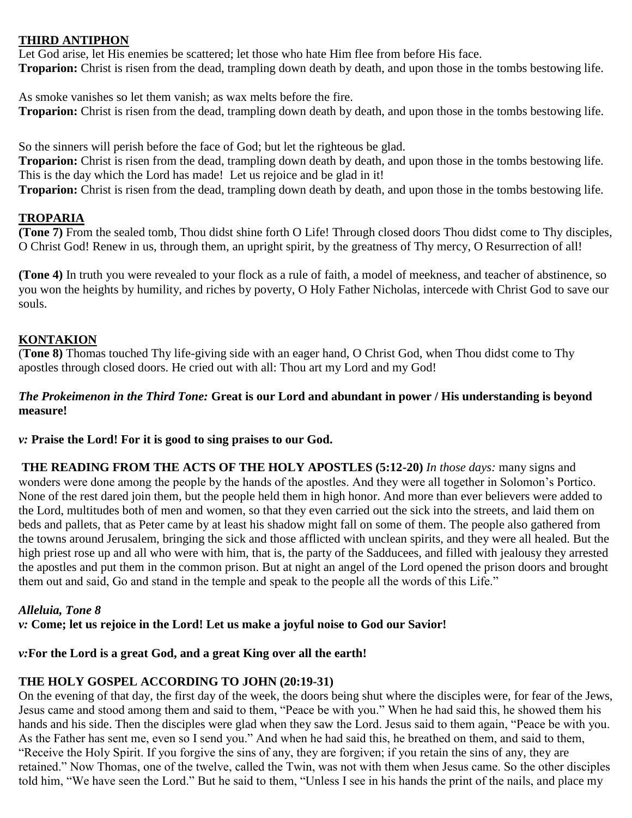### **THIRD ANTIPHON**

Let God arise, let His enemies be scattered; let those who hate Him flee from before His face. **Troparion:** Christ is risen from the dead, trampling down death by death, and upon those in the tombs bestowing life.

As smoke vanishes so let them vanish; as wax melts before the fire. **Troparion:** Christ is risen from the dead, trampling down death by death, and upon those in the tombs bestowing life.

So the sinners will perish before the face of God; but let the righteous be glad.

**Troparion:** Christ is risen from the dead, trampling down death by death, and upon those in the tombs bestowing life. This is the day which the Lord has made! Let us rejoice and be glad in it!

**Troparion:** Christ is risen from the dead, trampling down death by death, and upon those in the tombs bestowing life.

### **TROPARIA**

**(Tone 7)** From the sealed tomb, Thou didst shine forth O Life! Through closed doors Thou didst come to Thy disciples, O Christ God! Renew in us, through them, an upright spirit, by the greatness of Thy mercy, O Resurrection of all!

**(Tone 4)** In truth you were revealed to your flock as a rule of faith, a model of meekness, and teacher of abstinence, so you won the heights by humility, and riches by poverty, O Holy Father Nicholas, intercede with Christ God to save our souls.

# **KONTAKION**

(**Tone 8)** Thomas touched Thy life-giving side with an eager hand, O Christ God, when Thou didst come to Thy apostles through closed doors. He cried out with all: Thou art my Lord and my God!

### *The Prokeimenon in the Third Tone:* **Great is our Lord and abundant in power / His understanding is beyond measure!**

*v:* **Praise the Lord! For it is good to sing praises to our God.**

**THE READING FROM THE ACTS OF THE HOLY APOSTLES (5:12-20)** *In those days:* many signs and wonders were done among the people by the hands of the apostles. And they were all together in Solomon's Portico. None of the rest dared join them, but the people held them in high honor. And more than ever believers were added to the Lord, multitudes both of men and women, so that they even carried out the sick into the streets, and laid them on beds and pallets, that as Peter came by at least his shadow might fall on some of them. The people also gathered from the towns around Jerusalem, bringing the sick and those afflicted with unclean spirits, and they were all healed. But the high priest rose up and all who were with him, that is, the party of the Sadducees, and filled with jealousy they arrested the apostles and put them in the common prison. But at night an angel of the Lord opened the prison doors and brought them out and said, Go and stand in the temple and speak to the people all the words of this Life."

# *Alleluia, Tone 8*

*v:* **Come; let us rejoice in the Lord! Let us make a joyful noise to God our Savior!**

### *v:***For the Lord is a great God, and a great King over all the earth!**

# **THE HOLY GOSPEL ACCORDING TO JOHN (20:19-31)**

On the evening of that day, the first day of the week, the doors being shut where the disciples were, for fear of the Jews, Jesus came and stood among them and said to them, "Peace be with you." When he had said this, he showed them his hands and his side. Then the disciples were glad when they saw the Lord. Jesus said to them again, "Peace be with you. As the Father has sent me, even so I send you." And when he had said this, he breathed on them, and said to them, "Receive the Holy Spirit. If you forgive the sins of any, they are forgiven; if you retain the sins of any, they are retained." Now Thomas, one of the twelve, called the Twin, was not with them when Jesus came. So the other disciples told him, "We have seen the Lord." But he said to them, "Unless I see in his hands the print of the nails, and place my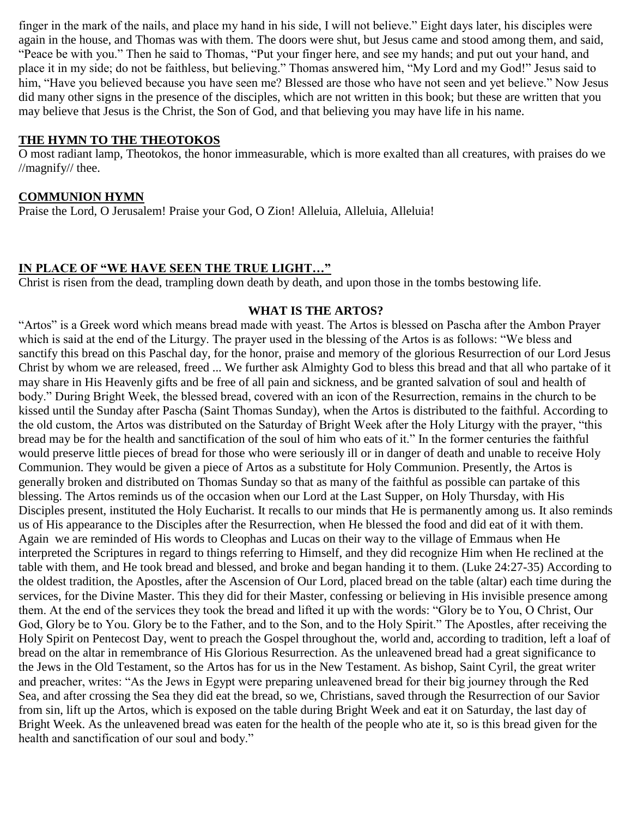finger in the mark of the nails, and place my hand in his side, I will not believe." Eight days later, his disciples were again in the house, and Thomas was with them. The doors were shut, but Jesus came and stood among them, and said, "Peace be with you." Then he said to Thomas, "Put your finger here, and see my hands; and put out your hand, and place it in my side; do not be faithless, but believing." Thomas answered him, "My Lord and my God!" Jesus said to him, "Have you believed because you have seen me? Blessed are those who have not seen and yet believe." Now Jesus did many other signs in the presence of the disciples, which are not written in this book; but these are written that you may believe that Jesus is the Christ, the Son of God, and that believing you may have life in his name.

### **THE HYMN TO THE THEOTOKOS**

O most radiant lamp, Theotokos, the honor immeasurable, which is more exalted than all creatures, with praises do we //magnify// thee.

### **COMMUNION HYMN**

Praise the Lord, O Jerusalem! Praise your God, O Zion! Alleluia, Alleluia, Alleluia!

### **IN PLACE OF "WE HAVE SEEN THE TRUE LIGHT…"**

Christ is risen from the dead, trampling down death by death, and upon those in the tombs bestowing life.

### **WHAT IS THE ARTOS?**

"Artos" is a Greek word which means bread made with yeast. The Artos is blessed on Pascha after the Ambon Prayer which is said at the end of the Liturgy. The prayer used in the blessing of the Artos is as follows: "We bless and sanctify this bread on this Paschal day, for the honor, praise and memory of the glorious Resurrection of our Lord Jesus Christ by whom we are released, freed ... We further ask Almighty God to bless this bread and that all who partake of it may share in His Heavenly gifts and be free of all pain and sickness, and be granted salvation of soul and health of body." During Bright Week, the blessed bread, covered with an icon of the Resurrection, remains in the church to be kissed until the Sunday after Pascha (Saint Thomas Sunday), when the Artos is distributed to the faithful. According to the old custom, the Artos was distributed on the Saturday of Bright Week after the Holy Liturgy with the prayer, "this bread may be for the health and sanctification of the soul of him who eats of it." In the former centuries the faithful would preserve little pieces of bread for those who were seriously ill or in danger of death and unable to receive Holy Communion. They would be given a piece of Artos as a substitute for Holy Communion. Presently, the Artos is generally broken and distributed on Thomas Sunday so that as many of the faithful as possible can partake of this blessing. The Artos reminds us of the occasion when our Lord at the Last Supper, on Holy Thursday, with His Disciples present, instituted the Holy Eucharist. It recalls to our minds that He is permanently among us. It also reminds us of His appearance to the Disciples after the Resurrection, when He blessed the food and did eat of it with them. Again we are reminded of His words to Cleophas and Lucas on their way to the village of Emmaus when He interpreted the Scriptures in regard to things referring to Himself, and they did recognize Him when He reclined at the table with them, and He took bread and blessed, and broke and began handing it to them. (Luke 24:27-35) According to the oldest tradition, the Apostles, after the Ascension of Our Lord, placed bread on the table (altar) each time during the services, for the Divine Master. This they did for their Master, confessing or believing in His invisible presence among them. At the end of the services they took the bread and lifted it up with the words: "Glory be to You, O Christ, Our God, Glory be to You. Glory be to the Father, and to the Son, and to the Holy Spirit." The Apostles, after receiving the Holy Spirit on Pentecost Day, went to preach the Gospel throughout the, world and, according to tradition, left a loaf of bread on the altar in remembrance of His Glorious Resurrection. As the unleavened bread had a great significance to the Jews in the Old Testament, so the Artos has for us in the New Testament. As bishop, Saint Cyril, the great writer and preacher, writes: "As the Jews in Egypt were preparing unleavened bread for their big journey through the Red Sea, and after crossing the Sea they did eat the bread, so we, Christians, saved through the Resurrection of our Savior from sin, lift up the Artos, which is exposed on the table during Bright Week and eat it on Saturday, the last day of Bright Week. As the unleavened bread was eaten for the health of the people who ate it, so is this bread given for the health and sanctification of our soul and body."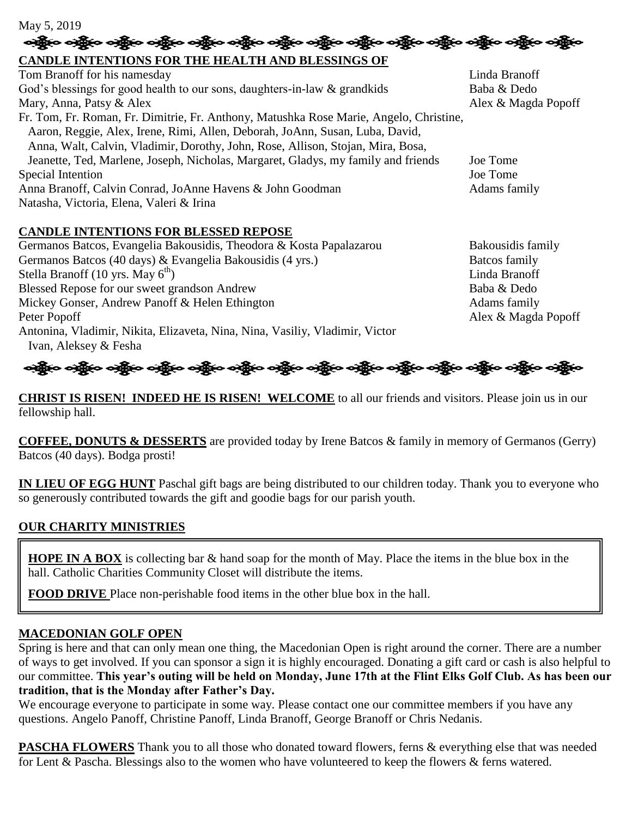# May 5, 2019<br>- <del>ంక్ష్మ</del>ేంం <del>ంక్ష్మేంం ంక్ష్మేంం ంక్ష్మేంం ంక్ష్మేంం ంక్ష్మేంం ంక్ష్మేంం ంక్ష్మేంం ంక్ష్మేంం ంక్ష్మేంం ంక్ష్మేం</del>

# **CANDLE INTENTIONS FOR THE HEALTH AND BLESSINGS OF**

| Tom Branoff for his namesday                                                           | Linda Branoff       |
|----------------------------------------------------------------------------------------|---------------------|
| God's blessings for good health to our sons, daughters-in-law & grandkids              | Baba & Dedo         |
| Mary, Anna, Patsy & Alex                                                               | Alex & Magda Popoff |
| Fr. Tom, Fr. Roman, Fr. Dimitrie, Fr. Anthony, Matushka Rose Marie, Angelo, Christine, |                     |
| Aaron, Reggie, Alex, Irene, Rimi, Allen, Deborah, JoAnn, Susan, Luba, David,           |                     |
| Anna, Walt, Calvin, Vladimir, Dorothy, John, Rose, Allison, Stojan, Mira, Bosa,        |                     |
| Jeanette, Ted, Marlene, Joseph, Nicholas, Margaret, Gladys, my family and friends      | Joe Tome            |
| Special Intention                                                                      | Joe Tome            |
| Anna Branoff, Calvin Conrad, JoAnne Havens & John Goodman                              | Adams family        |
| Natasha, Victoria, Elena, Valeri & Irina                                               |                     |
|                                                                                        |                     |

# **CANDLE INTENTIONS FOR BLESSED REPOSE**

| Germanos Batcos, Evangelia Bakousidis, Theodora & Kosta Papalazarou          | Bakousidis family   |
|------------------------------------------------------------------------------|---------------------|
| Germanos Batcos (40 days) & Evangelia Bakousidis (4 yrs.)                    | Batcos family       |
| Stella Branoff $(10 \text{ yrs. May } 6^{\text{th}})$                        | Linda Branoff       |
| Blessed Repose for our sweet grandson Andrew                                 | Baba & Dedo         |
| Mickey Gonser, Andrew Panoff & Helen Ethington                               | Adams family        |
| Peter Popoff                                                                 | Alex & Magda Popoff |
| Antonina, Vladimir, Nikita, Elizaveta, Nina, Nina, Vasiliy, Vladimir, Victor |                     |
| Ivan, Aleksey & Fesha                                                        |                     |

નર્ગ્રીૂબ નર્ગ્રીૂબ નર્ગ્રીૂબ નર્ગ્રીૂબ નર્ગ્રીૂબ નર્ગ્રીૂબ નર્ગ્રીૂબ નર્ગ્રીૂબ નર્ગ્રીબ નર્ગ્રીબ નર્ગ્રીબ નર્ગ્રીબ

**CHRIST IS RISEN! INDEED HE IS RISEN! WELCOME** to all our friends and visitors. Please join us in our fellowship hall.

**COFFEE, DONUTS & DESSERTS** are provided today by Irene Batcos & family in memory of Germanos (Gerry) Batcos (40 days). Bodga prosti!

**IN LIEU OF EGG HUNT** Paschal gift bags are being distributed to our children today. Thank you to everyone who so generously contributed towards the gift and goodie bags for our parish youth.

# **OUR CHARITY MINISTRIES**

**HOPE IN A BOX** is collecting bar & hand soap for the month of May. Place the items in the blue box in the hall. Catholic Charities Community Closet will distribute the items.

**FOOD DRIVE** Place non-perishable food items in the other blue box in the hall.

# **MACEDONIAN GOLF OPEN**

Spring is here and that can only mean one thing, the Macedonian Open is right around the corner. There are a number of ways to get involved. If you can sponsor a sign it is highly encouraged. Donating a gift card or cash is also helpful to our committee. **This year's outing will be held on Monday, June 17th at the Flint Elks Golf Club. As has been our tradition, that is the Monday after Father's Day.** 

We encourage everyone to participate in some way. Please contact one our committee members if you have any questions. Angelo Panoff, Christine Panoff, Linda Branoff, George Branoff or Chris Nedanis.

**PASCHA FLOWERS** Thank you to all those who donated toward flowers, ferns & everything else that was needed for Lent & Pascha. Blessings also to the women who have volunteered to keep the flowers & ferns watered.